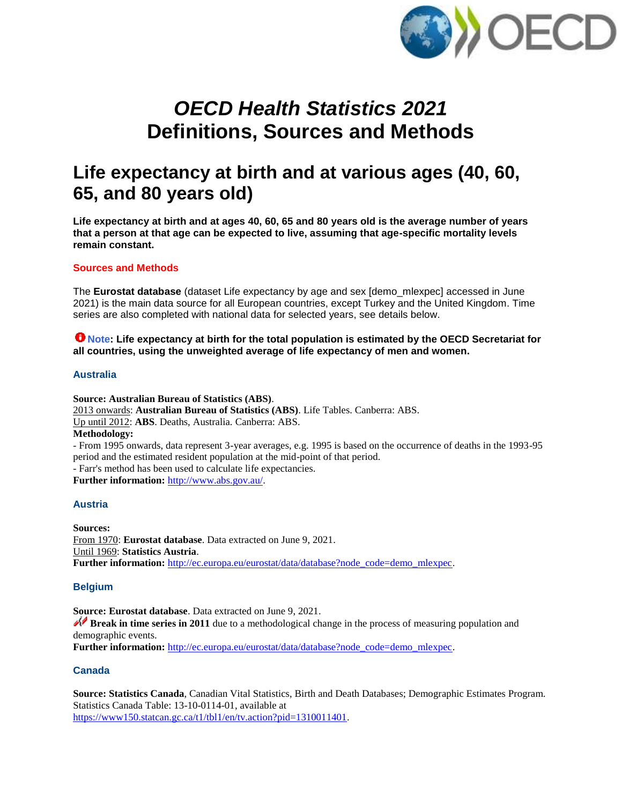

# *OECD Health Statistics 2021* **Definitions, Sources and Methods**

## **Life expectancy at birth and at various ages (40, 60, 65, and 80 years old)**

**Life expectancy at birth and at ages 40, 60, 65 and 80 years old is the average number of years that a person at that age can be expected to live, assuming that age-specific mortality levels remain constant.**

## **Sources and Methods**

The **Eurostat database** (dataset Life expectancy by age and sex [demo\_mlexpec] accessed in June 2021) is the main data source for all European countries, except Turkey and the United Kingdom. Time series are also completed with national data for selected years, see details below.

## **That I Note: Life expectancy at birth for the total population is estimated by the OECD Secretariat for all countries, using the unweighted average of life expectancy of men and women.**

#### **Australia**

**Source: Australian Bureau of Statistics (ABS)**. 2013 onwards: **Australian Bureau of Statistics (ABS)**. Life Tables. Canberra: ABS. Up until 2012: **ABS**. Deaths, Australia. Canberra: ABS. **Methodology:** - From 1995 onwards, data represent 3-year averages, e.g. 1995 is based on the occurrence of deaths in the 1993-95 period and the estimated resident population at the mid-point of that period. - Farr's method has been used to calculate life expectancies. **Further information:** [http://www.abs.gov.au/.](http://www.abs.gov.au/)

## **Austria**

**Sources:**  From 1970: **Eurostat database**. Data extracted on June 9, 2021. Until 1969: **Statistics Austria**. **Further information:** [http://ec.europa.eu/eurostat/data/database?node\\_code=demo\\_mlexpec.](http://ec.europa.eu/eurostat/data/database?node_code=demo_mlexpec)

#### **Belgium**

**Source: Eurostat database**. Data extracted on June 9, 2021.

**Break in time series in 2011** due to a methodological change in the process of measuring population and demographic events.

**Further information:** [http://ec.europa.eu/eurostat/data/database?node\\_code=demo\\_mlexpec.](http://ec.europa.eu/eurostat/data/database?node_code=demo_mlexpec)

#### **Canada**

**Source: Statistics Canada**, Canadian Vital Statistics, Birth and Death Databases; Demographic Estimates Program. Statistics Canada Table: 13-10-0114-01, available at [https://www150.statcan.gc.ca/t1/tbl1/en/tv.action?pid=1310011401.](https://www150.statcan.gc.ca/t1/tbl1/en/tv.action?pid=1310011401)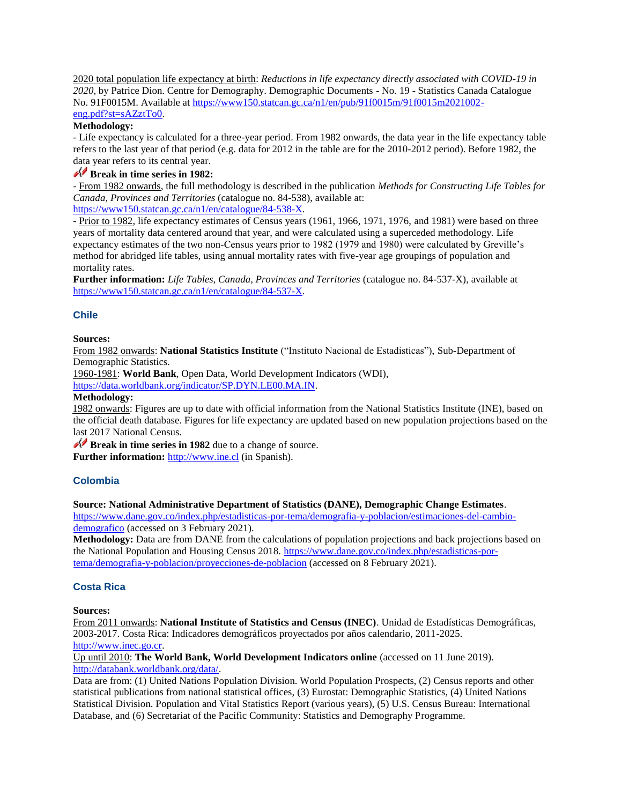2020 total population life expectancy at birth: *Reductions in life expectancy directly associated with COVID-19 in 2020*, by Patrice Dion. Centre for Demography. Demographic Documents - No. 19 - Statistics Canada Catalogue No. 91F0015M. Available at [https://www150.statcan.gc.ca/n1/en/pub/91f0015m/91f0015m2021002](https://www150.statcan.gc.ca/n1/en/pub/91f0015m/91f0015m2021002-eng.pdf?st=sAZztTo0) [eng.pdf?st=sAZztTo0.](https://www150.statcan.gc.ca/n1/en/pub/91f0015m/91f0015m2021002-eng.pdf?st=sAZztTo0)

#### **Methodology:**

- Life expectancy is calculated for a three-year period. From 1982 onwards, the data year in the life expectancy table refers to the last year of that period (e.g. data for 2012 in the table are for the 2010-2012 period). Before 1982, the data year refers to its central year.

## **Break in time series in 1982:**

- From 1982 onwards, the full methodology is described in the publication *Methods for Constructing Life Tables for Canada, Provinces and Territories* (catalogue no. 84-538), available at: [https://www150.statcan.gc.ca/n1/en/catalogue/84-538-X.](http://www150.statcan.gc.ca/n1/en/catalogue/84-538-X)

- Prior to 1982, life expectancy estimates of Census years (1961, 1966, 1971, 1976, and 1981) were based on three years of mortality data centered around that year, and were calculated using a superceded methodology. Life expectancy estimates of the two non-Census years prior to 1982 (1979 and 1980) were calculated by Greville's method for abridged life tables, using annual mortality rates with five-year age groupings of population and mortality rates.

**Further information:** *Life Tables, Canada, Provinces and Territories* (catalogue no. 84-537-X), available at [https://www150.statcan.gc.ca/n1/en/catalogue/84-537-X.](https://www150.statcan.gc.ca/n1/en/catalogue/84-537-X)

#### **Chile**

#### **Sources:**

From 1982 onwards: **National Statistics Institute** ("Instituto Nacional de Estadisticas"), Sub-Department of Demographic Statistics.

1960-1981: **World Bank**, Open Data, World Development Indicators (WDI),

[https://data.worldbank.org/indicator/SP.DYN.LE00.MA.IN.](https://data.worldbank.org/indicator/SP.DYN.LE00.MA.IN) 

#### **Methodology:**

1982 onwards: Figures are up to date with official information from the National Statistics Institute (INE), based on the official death database. Figures for life expectancy are updated based on new population projections based on the last 2017 National Census.

**Break in time series in 1982** due to a change of source.

**Further information:** [http://www.ine.cl](http://www.ine.cl/) (in Spanish).

#### **Colombia**

#### **Source: National Administrative Department of Statistics (DANE), Demographic Change Estimates**.

[https://www.dane.gov.co/index.php/estadisticas-por-tema/demografia-y-poblacion/estimaciones-del-cambio](https://www.dane.gov.co/index.php/estadisticas-por-tema/demografia-y-poblacion/estimaciones-del-cambio-demografico)[demografico](https://www.dane.gov.co/index.php/estadisticas-por-tema/demografia-y-poblacion/estimaciones-del-cambio-demografico) (accessed on 3 February 2021).

**Methodology:** Data are from DANE from the calculations of population projections and back projections based on the National Population and Housing Census 2018. [https://www.dane.gov.co/index.php/estadisticas-por](https://www.dane.gov.co/index.php/estadisticas-por-tema/demografia-y-poblacion/proyecciones-de-poblacion)[tema/demografia-y-poblacion/proyecciones-de-poblacion](https://www.dane.gov.co/index.php/estadisticas-por-tema/demografia-y-poblacion/proyecciones-de-poblacion) (accessed on 8 February 2021).

#### **Costa Rica**

#### **Sources:**

From 2011 onwards: **National Institute of Statistics and Census (INEC)**. Unidad de Estadísticas Demográficas, 2003-2017. Costa Rica: Indicadores demográficos proyectados por años calendario, 2011-2025. [http://www.inec.go.cr.](http://www.inec.go.cr/)

Up until 2010: **The World Bank, World Development Indicators online** (accessed on 11 June 2019). [http://databank.worldbank.org/data/.](http://databank.worldbank.org/data/) 

Data are from: (1) United Nations Population Division. World Population Prospects, (2) Census reports and other statistical publications from national statistical offices, (3) Eurostat: Demographic Statistics, (4) United Nations Statistical Division. Population and Vital Statistics Report (various years), (5) U.S. Census Bureau: International Database, and (6) Secretariat of the Pacific Community: Statistics and Demography Programme.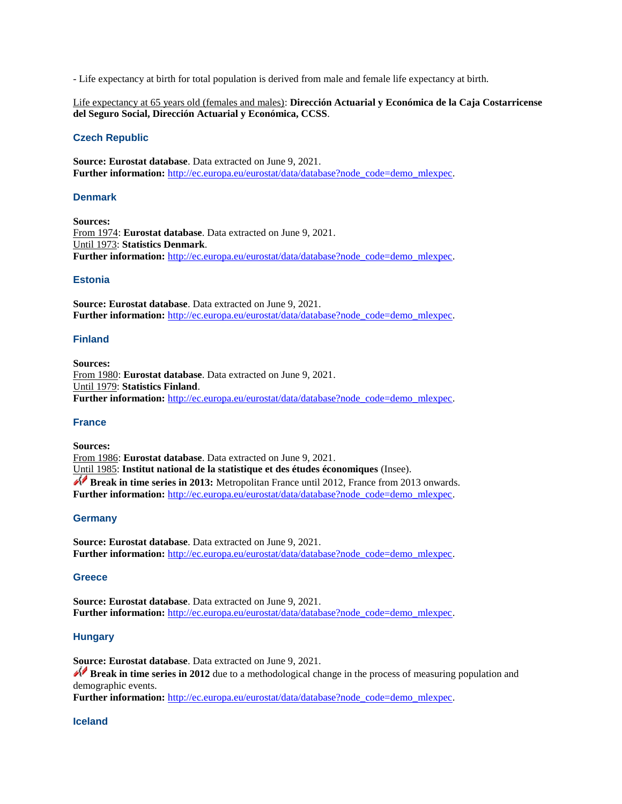- Life expectancy at birth for total population is derived from male and female life expectancy at birth.

Life expectancy at 65 years old (females and males): **Dirección Actuarial y Económica de la Caja Costarricense del Seguro Social, Dirección Actuarial y Económica, CCSS**.

#### **Czech Republic**

**Source: Eurostat database**. Data extracted on June 9, 2021. Further information: [http://ec.europa.eu/eurostat/data/database?node\\_code=demo\\_mlexpec.](http://ec.europa.eu/eurostat/data/database?node_code=demo_mlexpec)

#### **Denmark**

**Sources:**  From 1974: **Eurostat database**. Data extracted on June 9, 2021. Until 1973: **Statistics Denmark**. **Further information:** [http://ec.europa.eu/eurostat/data/database?node\\_code=demo\\_mlexpec.](http://ec.europa.eu/eurostat/data/database?node_code=demo_mlexpec)

#### **Estonia**

**Source: Eurostat database**. Data extracted on June 9, 2021. **Further information:** [http://ec.europa.eu/eurostat/data/database?node\\_code=demo\\_mlexpec.](http://ec.europa.eu/eurostat/data/database?node_code=demo_mlexpec)

#### **Finland**

**Sources:**  From 1980: **Eurostat database**. Data extracted on June 9, 2021. Until 1979: **Statistics Finland**. Further information: [http://ec.europa.eu/eurostat/data/database?node\\_code=demo\\_mlexpec.](http://ec.europa.eu/eurostat/data/database?node_code=demo_mlexpec)

#### **France**

**Sources:**  From 1986: **Eurostat database**. Data extracted on June 9, 2021. Until 1985: **Institut national de la statistique et des études économiques** (Insee). **Break in time series in 2013:** Metropolitan France until 2012, France from 2013 onwards. Further information: [http://ec.europa.eu/eurostat/data/database?node\\_code=demo\\_mlexpec.](http://ec.europa.eu/eurostat/data/database?node_code=demo_mlexpec)

#### **Germany**

**Source: Eurostat database**. Data extracted on June 9, 2021. Further information: [http://ec.europa.eu/eurostat/data/database?node\\_code=demo\\_mlexpec.](http://ec.europa.eu/eurostat/data/database?node_code=demo_mlexpec)

#### **Greece**

**Source: Eurostat database**. Data extracted on June 9, 2021. Further information: [http://ec.europa.eu/eurostat/data/database?node\\_code=demo\\_mlexpec.](http://ec.europa.eu/eurostat/data/database?node_code=demo_mlexpec)

#### **Hungary**

**Source: Eurostat database**. Data extracted on June 9, 2021.

**Break in time series in 2012** due to a methodological change in the process of measuring population and demographic events.

**Further information:** [http://ec.europa.eu/eurostat/data/database?node\\_code=demo\\_mlexpec.](http://ec.europa.eu/eurostat/data/database?node_code=demo_mlexpec)

#### **Iceland**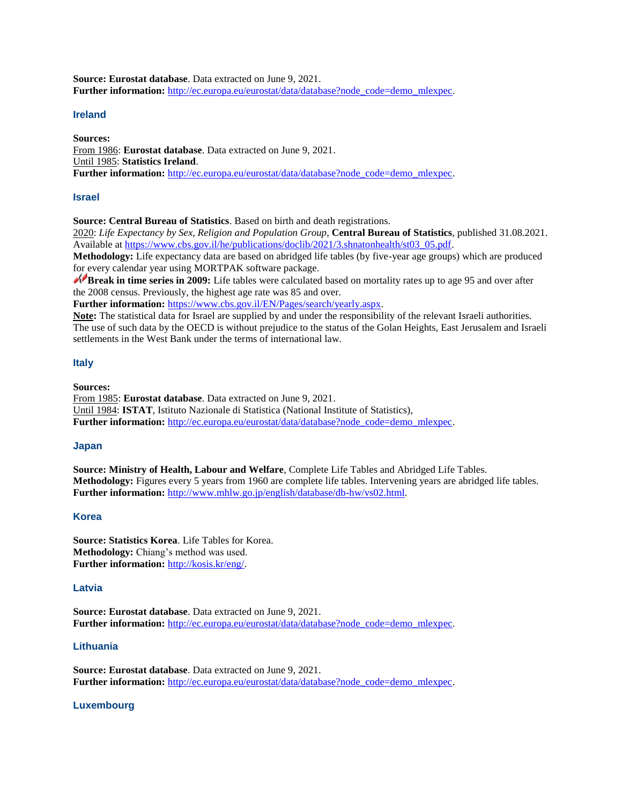**Source: Eurostat database**. Data extracted on June 9, 2021. Further information: [http://ec.europa.eu/eurostat/data/database?node\\_code=demo\\_mlexpec.](http://ec.europa.eu/eurostat/data/database?node_code=demo_mlexpec)

#### **Ireland**

**Sources:** 

From 1986: **Eurostat database**. Data extracted on June 9, 2021. Until 1985: **Statistics Ireland**. Further information: [http://ec.europa.eu/eurostat/data/database?node\\_code=demo\\_mlexpec.](http://ec.europa.eu/eurostat/data/database?node_code=demo_mlexpec)

#### **Israel**

**Source: Central Bureau of Statistics**. Based on birth and death registrations.

2020: *Life Expectancy by Sex, Religion and Population Group*, **Central Bureau of Statistics**, published 31.08.2021. Available at [https://www.cbs.gov.il/he/publications/doclib/2021/3.shnatonhealth/st03\\_05.pdf.](https://www.cbs.gov.il/he/publications/doclib/2021/3.shnatonhealth/st03_05.pdf)

**Methodology:** Life expectancy data are based on abridged life tables (by five-year age groups) which are produced for every calendar year using MORTPAK software package.

**Break in time series in 2009:** Life tables were calculated based on mortality rates up to age 95 and over after the 2008 census. Previously, the highest age rate was 85 and over.

**Further information:** [https://www.cbs.gov.il/EN/Pages/search/yearly.aspx.](https://www.cbs.gov.il/EN/Pages/search/yearly.aspx)

**Note:** The statistical data for Israel are supplied by and under the responsibility of the relevant Israeli authorities. The use of such data by the OECD is without prejudice to the status of the Golan Heights, East Jerusalem and Israeli settlements in the West Bank under the terms of international law.

#### **Italy**

**Sources:** 

From 1985: **Eurostat database**. Data extracted on June 9, 2021. Until 1984: **ISTAT**, Istituto Nazionale di Statistica (National Institute of Statistics), **Further information:** [http://ec.europa.eu/eurostat/data/database?node\\_code=demo\\_mlexpec.](http://ec.europa.eu/eurostat/data/database?node_code=demo_mlexpec)

#### **Japan**

**Source: Ministry of Health, Labour and Welfare**, Complete Life Tables and Abridged Life Tables. **Methodology:** Figures every 5 years from 1960 are complete life tables. Intervening years are abridged life tables. **Further information:** [http://www.mhlw.go.jp/english/database/db-hw/vs02.html.](http://www.mhlw.go.jp/english/database/db-hw/vs02.html)

#### **Korea**

**Source: Statistics Korea**. Life Tables for Korea. **Methodology:** Chiang's method was used. **Further information:** [http://kosis.kr/eng/.](http://kosis.kr/eng/)

#### **Latvia**

**Source: Eurostat database**. Data extracted on June 9, 2021. **Further information:** [http://ec.europa.eu/eurostat/data/database?node\\_code=demo\\_mlexpec.](http://ec.europa.eu/eurostat/data/database?node_code=demo_mlexpec)

#### **Lithuania**

**Source: Eurostat database**. Data extracted on June 9, 2021. Further information: [http://ec.europa.eu/eurostat/data/database?node\\_code=demo\\_mlexpec.](http://ec.europa.eu/eurostat/data/database?node_code=demo_mlexpec)

#### **Luxembourg**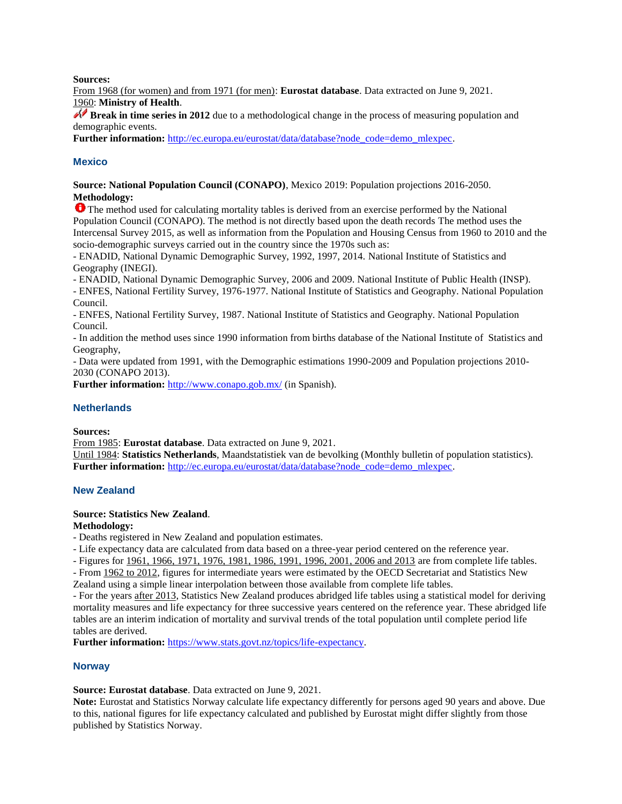**Sources:** 

From 1968 (for women) and from 1971 (for men): **Eurostat database**. Data extracted on June 9, 2021. 1960: **Ministry of Health**.

**Break in time series in 2012** due to a methodological change in the process of measuring population and demographic events.

**Further information:** [http://ec.europa.eu/eurostat/data/database?node\\_code=demo\\_mlexpec.](http://ec.europa.eu/eurostat/data/database?node_code=demo_mlexpec)

## **Mexico**

**Source: National Population Council (CONAPO)**, Mexico 2019: Population projections 2016-2050. **Methodology:**

The method used for calculating mortality tables is derived from an exercise performed by the National Population Council (CONAPO). The method is not directly based upon the death records The method uses the Intercensal Survey 2015, as well as information from the Population and Housing Census from 1960 to 2010 and the socio-demographic surveys carried out in the country since the 1970s such as:

- ENADID, National Dynamic Demographic Survey, 1992, 1997, 2014. National Institute of Statistics and Geography (INEGI).

- ENADID, National Dynamic Demographic Survey, 2006 and 2009. National Institute of Public Health (INSP).

- ENFES, National Fertility Survey, 1976-1977. National Institute of Statistics and Geography. National Population Council.

- ENFES, National Fertility Survey, 1987. National Institute of Statistics and Geography. National Population Council.

- In addition the method uses since 1990 information from births database of the National Institute of Statistics and Geography,

- Data were updated from 1991, with the Demographic estimations 1990-2009 and Population projections 2010- 2030 (CONAPO 2013).

**Further information:** <http://www.conapo.gob.mx/> (in Spanish).

#### **Netherlands**

**Sources:** 

From 1985: **Eurostat database**. Data extracted on June 9, 2021.

Until 1984: **Statistics Netherlands**, Maandstatistiek van de bevolking (Monthly bulletin of population statistics). **Further information:** [http://ec.europa.eu/eurostat/data/database?node\\_code=demo\\_mlexpec.](http://ec.europa.eu/eurostat/data/database?node_code=demo_mlexpec)

#### **New Zealand**

#### **Source: Statistics New Zealand**.

**Methodology:** 

- Deaths registered in New Zealand and population estimates.

- Life expectancy data are calculated from data based on a three-year period centered on the reference year.

- Figures for 1961, 1966, 1971, 1976, 1981, 1986, 1991, 1996, 2001, 2006 and 2013 are from complete life tables.

- From 1962 to 2012, figures for intermediate years were estimated by the OECD Secretariat and Statistics New Zealand using a simple linear interpolation between those available from complete life tables.

- For the years after 2013, Statistics New Zealand produces abridged life tables using a statistical model for deriving mortality measures and life expectancy for three successive years centered on the reference year. These abridged life tables are an interim indication of mortality and survival trends of the total population until complete period life tables are derived.

**Further information:** [https://www.stats.govt.nz/topics/life-expectancy.](https://www.stats.govt.nz/topics/life-expectancy)

#### **Norway**

**Source: Eurostat database**. Data extracted on June 9, 2021.

**Note:** Eurostat and Statistics Norway calculate life expectancy differently for persons aged 90 years and above. Due to this, national figures for life expectancy calculated and published by Eurostat might differ slightly from those published by Statistics Norway.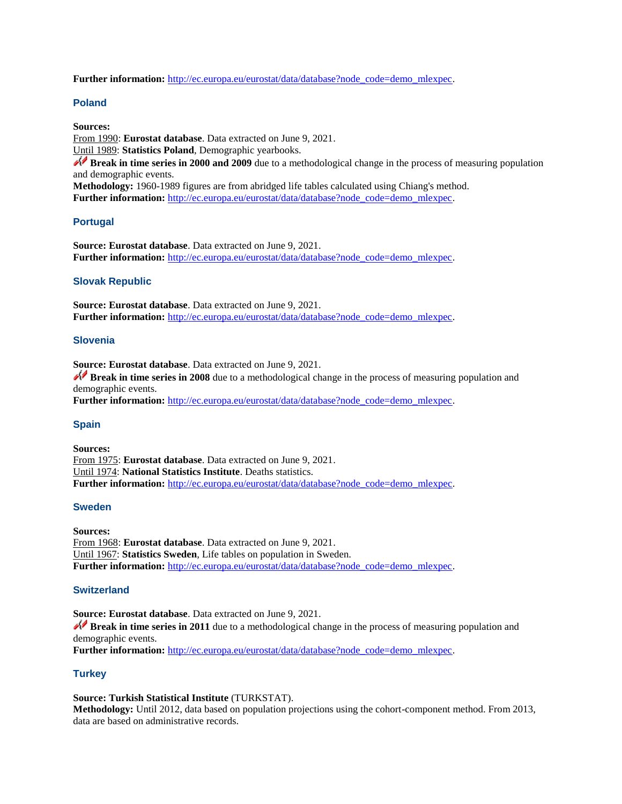Further information: [http://ec.europa.eu/eurostat/data/database?node\\_code=demo\\_mlexpec.](http://ec.europa.eu/eurostat/data/database?node_code=demo_mlexpec)

## **Poland**

**Sources:** 

From 1990: **Eurostat database**. Data extracted on June 9, 2021.

Until 1989: **Statistics Poland**, Demographic yearbooks.

**Break in time series in 2000 and 2009** due to a methodological change in the process of measuring population and demographic events.

**Methodology:** 1960-1989 figures are from abridged life tables calculated using Chiang's method. **Further information:** [http://ec.europa.eu/eurostat/data/database?node\\_code=demo\\_mlexpec.](http://ec.europa.eu/eurostat/data/database?node_code=demo_mlexpec)

## **Portugal**

**Source: Eurostat database**. Data extracted on June 9, 2021. **Further information:** [http://ec.europa.eu/eurostat/data/database?node\\_code=demo\\_mlexpec.](http://ec.europa.eu/eurostat/data/database?node_code=demo_mlexpec)

## **Slovak Republic**

**Source: Eurostat database**. Data extracted on June 9, 2021. Further information: [http://ec.europa.eu/eurostat/data/database?node\\_code=demo\\_mlexpec.](http://ec.europa.eu/eurostat/data/database?node_code=demo_mlexpec)

## **Slovenia**

**Source: Eurostat database**. Data extracted on June 9, 2021.

**Break in time series in 2008** due to a methodological change in the process of measuring population and demographic events.

Further information: [http://ec.europa.eu/eurostat/data/database?node\\_code=demo\\_mlexpec.](http://ec.europa.eu/eurostat/data/database?node_code=demo_mlexpec)

## **Spain**

**Sources:** From 1975: **Eurostat database**. Data extracted on June 9, 2021. Until 1974: **National Statistics Institute**. Deaths statistics. **Further information:** [http://ec.europa.eu/eurostat/data/database?node\\_code=demo\\_mlexpec.](http://ec.europa.eu/eurostat/data/database?node_code=demo_mlexpec)

#### **Sweden**

**Sources:**  From 1968: **Eurostat database**. Data extracted on June 9, 2021. Until 1967: **Statistics Sweden**, Life tables on population in Sweden. **Further information:** [http://ec.europa.eu/eurostat/data/database?node\\_code=demo\\_mlexpec.](http://ec.europa.eu/eurostat/data/database?node_code=demo_mlexpec)

## **Switzerland**

**Source: Eurostat database**. Data extracted on June 9, 2021. **Break in time series in 2011** due to a methodological change in the process of measuring population and demographic events. **Further information:** [http://ec.europa.eu/eurostat/data/database?node\\_code=demo\\_mlexpec.](http://ec.europa.eu/eurostat/data/database?node_code=demo_mlexpec)

## **Turkey**

**Source: Turkish Statistical Institute** (TURKSTAT).

**Methodology:** Until 2012, data based on population projections using the cohort-component method. From 2013, data are based on administrative records.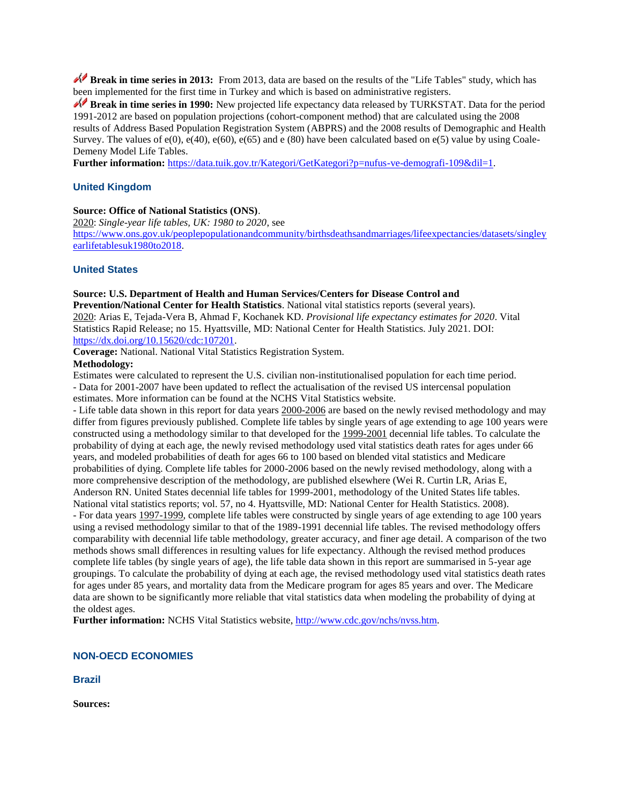**Break in time series in 2013:** From 2013, data are based on the results of the "Life Tables" study, which has been implemented for the first time in Turkey and which is based on administrative registers.

**Break in time series in 1990:** New projected life expectancy data released by TURKSTAT. Data for the period 1991-2012 are based on population projections (cohort-component method) that are calculated using the 2008 results of Address Based Population Registration System (ABPRS) and the 2008 results of Demographic and Health Survey. The values of  $e(0)$ ,  $e(40)$ ,  $e(60)$ ,  $e(65)$  and  $e(80)$  have been calculated based on  $e(5)$  value by using Coale-Demeny Model Life Tables.

**Further information:** [https://data.tuik.gov.tr/Kategori/GetKategori?p=nufus-ve-demografi-109&dil=1.](https://data.tuik.gov.tr/Kategori/GetKategori?p=nufus-ve-demografi-109&dil=1)

#### **United Kingdom**

#### **Source: Office of National Statistics (ONS)**.

2020: *Single-year life tables, UK: 1980 to 2020*, see [https://www.ons.gov.uk/peoplepopulationandcommunity/birthsdeathsandmarriages/lifeexpectancies/datasets/singley](https://www.ons.gov.uk/peoplepopulationandcommunity/birthsdeathsandmarriages/lifeexpectancies/datasets/singleyearlifetablesuk1980to2018) [earlifetablesuk1980to2018.](https://www.ons.gov.uk/peoplepopulationandcommunity/birthsdeathsandmarriages/lifeexpectancies/datasets/singleyearlifetablesuk1980to2018)

#### **United States**

**Source: U.S. Department of Health and Human Services/Centers for Disease Control and Prevention/National Center for Health Statistics**. National vital statistics reports (several years). 2020: Arias E, Tejada-Vera B, Ahmad F, Kochanek KD. *Provisional life expectancy estimates for 2020*. Vital Statistics Rapid Release; no 15. Hyattsville, MD: National Center for Health Statistics. July 2021. DOI: [https://dx.doi.org/10.15620/cdc:107201.](https://dx.doi.org/10.15620/cdc:107201)

**Coverage:** National. National Vital Statistics Registration System.

#### **Methodology:**

Estimates were calculated to represent the U.S. civilian non-institutionalised population for each time period. - Data for 2001-2007 have been updated to reflect the actualisation of the revised US intercensal population estimates. More information can be found at the NCHS Vital Statistics website.

- Life table data shown in this report for data years 2000-2006 are based on the newly revised methodology and may differ from figures previously published. Complete life tables by single years of age extending to age 100 years were constructed using a methodology similar to that developed for the 1999-2001 decennial life tables. To calculate the probability of dying at each age, the newly revised methodology used vital statistics death rates for ages under 66 years, and modeled probabilities of death for ages 66 to 100 based on blended vital statistics and Medicare probabilities of dying. Complete life tables for 2000-2006 based on the newly revised methodology, along with a more comprehensive description of the methodology, are published elsewhere (Wei R. Curtin LR, Arias E, Anderson RN. United States decennial life tables for 1999-2001, methodology of the United States life tables. National vital statistics reports; vol. 57, no 4. Hyattsville, MD: National Center for Health Statistics. 2008). - For data years 1997-1999, complete life tables were constructed by single years of age extending to age 100 years using a revised methodology similar to that of the 1989-1991 decennial life tables. The revised methodology offers comparability with decennial life table methodology, greater accuracy, and finer age detail. A comparison of the two methods shows small differences in resulting values for life expectancy. Although the revised method produces complete life tables (by single years of age), the life table data shown in this report are summarised in 5-year age groupings. To calculate the probability of dying at each age, the revised methodology used vital statistics death rates for ages under 85 years, and mortality data from the Medicare program for ages 85 years and over. The Medicare data are shown to be significantly more reliable that vital statistics data when modeling the probability of dying at the oldest ages.

Further information: NCHS Vital Statistics website, [http://www.cdc.gov/nchs/nvss.htm.](http://www.cdc.gov/nchs/nvss.htm)

#### **NON-OECD ECONOMIES**

**Brazil**

**Sources:**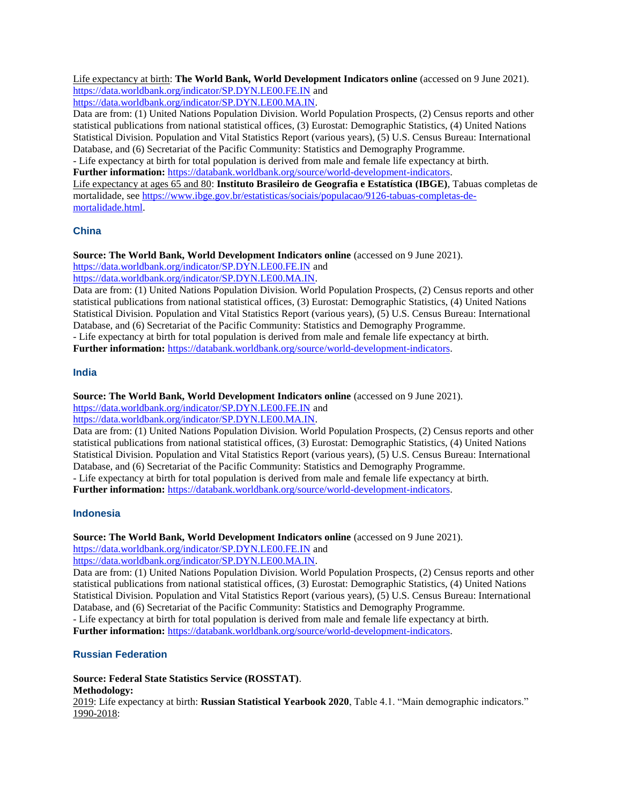Life expectancy at birth: **The World Bank, World Development Indicators online** (accessed on 9 June 2021). <https://data.worldbank.org/indicator/SP.DYN.LE00.FE.IN> and

[https://data.worldbank.org/indicator/SP.DYN.LE00.MA.IN.](https://data.worldbank.org/indicator/SP.DYN.LE00.MA.IN) 

Data are from: (1) United Nations Population Division. World Population Prospects, (2) Census reports and other statistical publications from national statistical offices, (3) Eurostat: Demographic Statistics, (4) United Nations Statistical Division. Population and Vital Statistics Report (various years), (5) U.S. Census Bureau: International Database, and (6) Secretariat of the Pacific Community: Statistics and Demography Programme.

- Life expectancy at birth for total population is derived from male and female life expectancy at birth. Further information: [https://databank.worldbank.org/source/world-development-indicators.](https://databank.worldbank.org/source/world-development-indicators)

Life expectancy at ages 65 and 80: **Instituto Brasileiro de Geografia e Estatística (IBGE)**, Tabuas completas de mortalidade, see [https://www.ibge.gov.br/estatisticas/sociais/populacao/9126-tabuas-completas-de](https://www.ibge.gov.br/estatisticas/sociais/populacao/9126-tabuas-completas-de-mortalidade.html)[mortalidade.html.](https://www.ibge.gov.br/estatisticas/sociais/populacao/9126-tabuas-completas-de-mortalidade.html)

## **China**

**Source: The World Bank, World Development Indicators online** (accessed on 9 June 2021).

<https://data.worldbank.org/indicator/SP.DYN.LE00.FE.IN> and

[https://data.worldbank.org/indicator/SP.DYN.LE00.MA.IN.](https://data.worldbank.org/indicator/SP.DYN.LE00.MA.IN) 

Data are from: (1) United Nations Population Division. World Population Prospects, (2) Census reports and other statistical publications from national statistical offices, (3) Eurostat: Demographic Statistics, (4) United Nations Statistical Division. Population and Vital Statistics Report (various years), (5) U.S. Census Bureau: International Database, and (6) Secretariat of the Pacific Community: Statistics and Demography Programme. - Life expectancy at birth for total population is derived from male and female life expectancy at birth.

**Further information:** [https://databank.worldbank.org/source/world-development-indicators.](https://databank.worldbank.org/source/world-development-indicators)

## **India**

**Source: The World Bank, World Development Indicators online** (accessed on 9 June 2021).

<https://data.worldbank.org/indicator/SP.DYN.LE00.FE.IN> and

[https://data.worldbank.org/indicator/SP.DYN.LE00.MA.IN.](https://data.worldbank.org/indicator/SP.DYN.LE00.MA.IN) 

Data are from: (1) United Nations Population Division. World Population Prospects, (2) Census reports and other statistical publications from national statistical offices, (3) Eurostat: Demographic Statistics, (4) United Nations Statistical Division. Population and Vital Statistics Report (various years), (5) U.S. Census Bureau: International Database, and (6) Secretariat of the Pacific Community: Statistics and Demography Programme. - Life expectancy at birth for total population is derived from male and female life expectancy at birth.

**Further information:** [https://databank.worldbank.org/source/world-development-indicators.](https://databank.worldbank.org/source/world-development-indicators)

## **Indonesia**

**Source: The World Bank, World Development Indicators online** (accessed on 9 June 2021).

<https://data.worldbank.org/indicator/SP.DYN.LE00.FE.IN> and

[https://data.worldbank.org/indicator/SP.DYN.LE00.MA.IN.](https://data.worldbank.org/indicator/SP.DYN.LE00.MA.IN) 

Data are from: (1) United Nations Population Division. World Population Prospects, (2) Census reports and other statistical publications from national statistical offices, (3) Eurostat: Demographic Statistics, (4) United Nations Statistical Division. Population and Vital Statistics Report (various years), (5) U.S. Census Bureau: International Database, and (6) Secretariat of the Pacific Community: Statistics and Demography Programme.

- Life expectancy at birth for total population is derived from male and female life expectancy at birth. **Further information:** [https://databank.worldbank.org/source/world-development-indicators.](https://databank.worldbank.org/source/world-development-indicators)

## **Russian Federation**

**Source: Federal State Statistics Service (ROSSTAT)**.

#### **Methodology:**

2019: Life expectancy at birth: **Russian Statistical Yearbook 2020**, Table 4.1. "Main demographic indicators." 1990-2018: